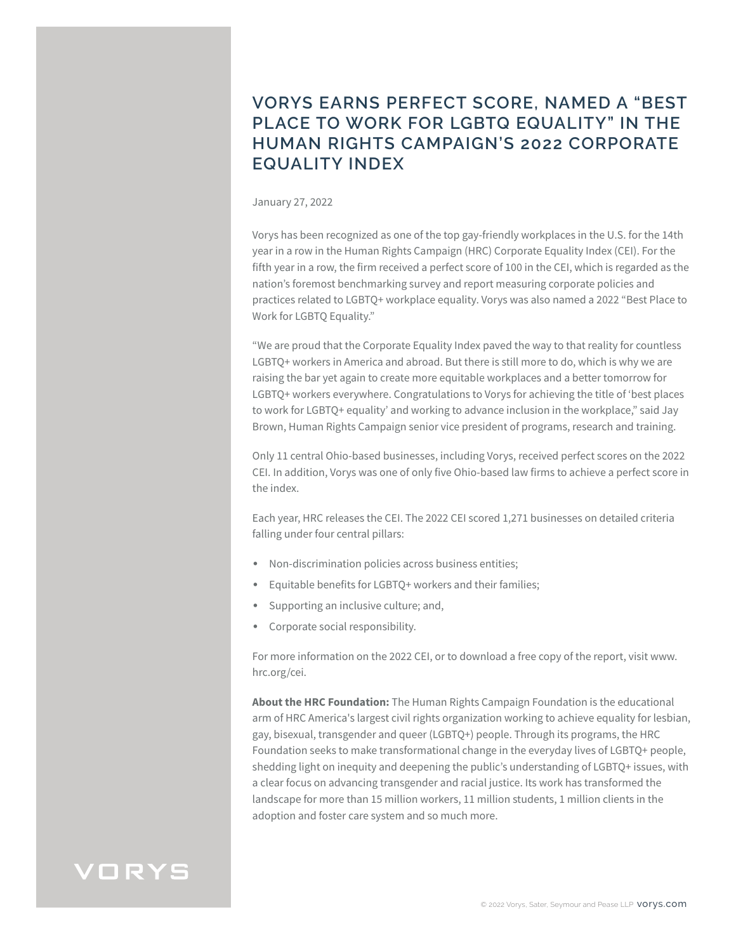## **VORYS EARNS PERFECT SCORE, NAMED A "BEST PLACE TO WORK FOR LGBTQ EQUALITY" IN THE HUMAN RIGHTS CAMPAIGN'S 2022 CORPORATE EQUALITY INDEX**

## January 27, 2022

Vorys has been recognized as one of the top gay-friendly workplaces in the U.S. for the 14th year in a row in the Human Rights Campaign (HRC) Corporate Equality Index (CEI). For the fifth year in a row, the firm received a perfect score of 100 in the CEI, which is regarded as the nation's foremost benchmarking survey and report measuring corporate policies and practices related to LGBTQ+ workplace equality. Vorys was also named a 2022 "Best Place to Work for LGBTQ Equality."

"We are proud that the Corporate Equality Index paved the way to that reality for countless LGBTQ+ workers in America and abroad. But there is still more to do, which is why we are raising the bar yet again to create more equitable workplaces and a better tomorrow for LGBTQ+ workers everywhere. Congratulations to Vorys for achieving the title of 'best places to work for LGBTQ+ equality' and working to advance inclusion in the workplace," said Jay Brown, Human Rights Campaign senior vice president of programs, research and training.

Only 11 central Ohio-based businesses, including Vorys, received perfect scores on the 2022 CEI. In addition, Vorys was one of only five Ohio-based law firms to achieve a perfect score in the index.

Each year, HRC releases the CEI. The 2022 CEI scored 1,271 businesses on detailed criteria falling under four central pillars:

- Non-discrimination policies across business entities;
- Equitable benefits for LGBTQ+ workers and their families;
- Supporting an inclusive culture; and,
- Corporate social responsibility.

For more information on the 2022 CEI, or to download a free copy of the report, visit www. hrc.org/cei.

**About the HRC Foundation:** The Human Rights Campaign Foundation is the educational arm of HRC America's largest civil rights organization working to achieve equality for lesbian, gay, bisexual, transgender and queer (LGBTQ+) people. Through its programs, the HRC Foundation seeks to make transformational change in the everyday lives of LGBTQ+ people, shedding light on inequity and deepening the public's understanding of LGBTQ+ issues, with a clear focus on advancing transgender and racial justice. Its work has transformed the landscape for more than 15 million workers, 11 million students, 1 million clients in the adoption and foster care system and so much more.

## VORYS